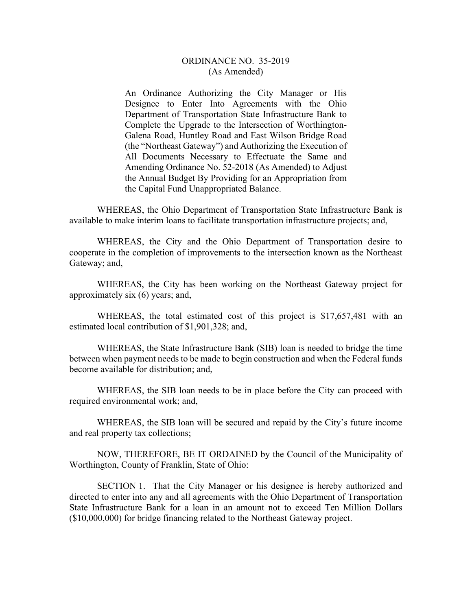## ORDINANCE NO. 35-2019 (As Amended)

An Ordinance Authorizing the City Manager or His Designee to Enter Into Agreements with the Ohio Department of Transportation State Infrastructure Bank to Complete the Upgrade to the Intersection of Worthington-Galena Road, Huntley Road and East Wilson Bridge Road (the "Northeast Gateway") and Authorizing the Execution of All Documents Necessary to Effectuate the Same and Amending Ordinance No. 52-2018 (As Amended) to Adjust the Annual Budget By Providing for an Appropriation from the Capital Fund Unappropriated Balance.

 WHEREAS, the Ohio Department of Transportation State Infrastructure Bank is available to make interim loans to facilitate transportation infrastructure projects; and,

WHEREAS, the City and the Ohio Department of Transportation desire to cooperate in the completion of improvements to the intersection known as the Northeast Gateway; and,

WHEREAS, the City has been working on the Northeast Gateway project for approximately six (6) years; and,

WHEREAS, the total estimated cost of this project is \$17,657,481 with an estimated local contribution of \$1,901,328; and,

WHEREAS, the State Infrastructure Bank (SIB) loan is needed to bridge the time between when payment needs to be made to begin construction and when the Federal funds become available for distribution; and,

WHEREAS, the SIB loan needs to be in place before the City can proceed with required environmental work; and,

WHEREAS, the SIB loan will be secured and repaid by the City's future income and real property tax collections;

 NOW, THEREFORE, BE IT ORDAINED by the Council of the Municipality of Worthington, County of Franklin, State of Ohio:

 SECTION 1. That the City Manager or his designee is hereby authorized and directed to enter into any and all agreements with the Ohio Department of Transportation State Infrastructure Bank for a loan in an amount not to exceed Ten Million Dollars (\$10,000,000) for bridge financing related to the Northeast Gateway project.